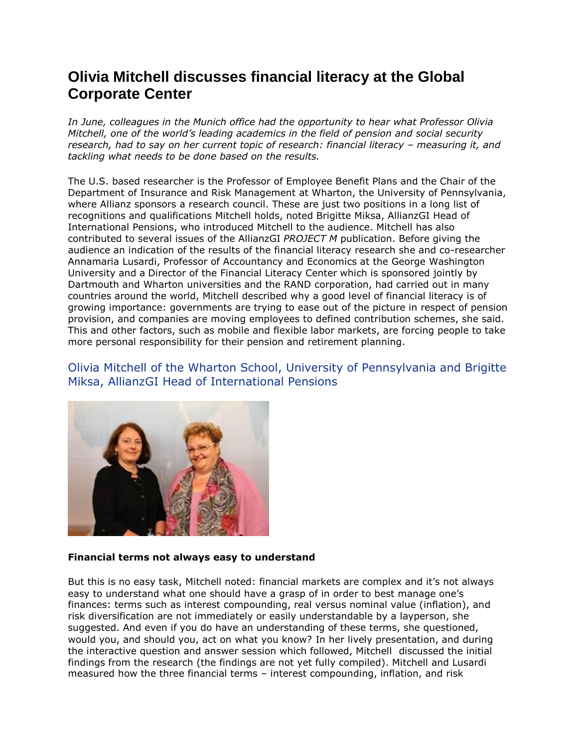## **Olivia Mitchell discusses financial literacy at the Global Corporate Center**

*In June, colleagues in the Munich office had the opportunity to hear what Professor Olivia Mitchell, one of the world's leading academics in the field of pension and social security research, had to say on her current topic of research: financial literacy – measuring it, and tackling what needs to be done based on the results.*

The U.S. based researcher is the Professor of Employee Benefit Plans and the Chair of the Department of Insurance and Risk Management at Wharton, the University of Pennsylvania, where Allianz sponsors a research council. These are just two positions in a long list of recognitions and qualifications Mitchell holds, noted Brigitte Miksa, AllianzGI Head of International Pensions, who introduced Mitchell to the audience. Mitchell has also contributed to several issues of the AllianzGI *PROJECT M* publication. Before giving the audience an indication of the results of the financial literacy research she and co-researcher Annamaria Lusardi, Professor of Accountancy and Economics at the George Washington University and a Director of the Financial Literacy Center which is sponsored jointly by Dartmouth and Wharton universities and the RAND corporation, had carried out in many countries around the world, Mitchell described why a good level of financial literacy is of growing importance: governments are trying to ease out of the picture in respect of pension provision, and companies are moving employees to defined contribution schemes, she said. This and other factors, such as mobile and flexible labor markets, are forcing people to take more personal responsibility for their pension and retirement planning.

Olivia Mitchell of the Wharton School, University of Pennsylvania and Brigitte Miksa, AllianzGI Head of International Pensions



## **Financial terms not always easy to understand**

But this is no easy task, Mitchell noted: financial markets are complex and it's not always easy to understand what one should have a grasp of in order to best manage one's finances: terms such as interest compounding, real versus nominal value (inflation), and risk diversification are not immediately or easily understandable by a layperson, she suggested. And even if you do have an understanding of these terms, she questioned, would you, and should you, act on what you know? In her lively presentation, and during the interactive question and answer session which followed, Mitchell discussed the initial findings from the research (the findings are not yet fully compiled). Mitchell and Lusardi measured how the three financial terms – interest compounding, inflation, and risk